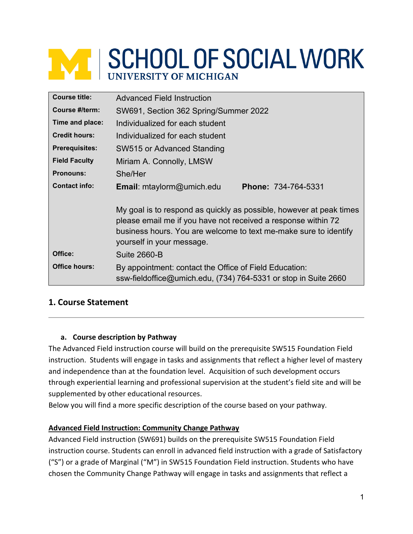# **WE SCHOOL OF SOCIAL WORK UNIVERSITY OF MICHIGAN**

| <b>Course title:</b>  | <b>Advanced Field Instruction</b>                                                                                                                                                                                                     |
|-----------------------|---------------------------------------------------------------------------------------------------------------------------------------------------------------------------------------------------------------------------------------|
| Course #/term:        | SW691, Section 362 Spring/Summer 2022                                                                                                                                                                                                 |
| Time and place:       | Individualized for each student                                                                                                                                                                                                       |
| <b>Credit hours:</b>  | Individualized for each student                                                                                                                                                                                                       |
| <b>Prerequisites:</b> | SW515 or Advanced Standing                                                                                                                                                                                                            |
| <b>Field Faculty</b>  | Miriam A. Connolly, LMSW                                                                                                                                                                                                              |
| <b>Pronouns:</b>      | She/Her                                                                                                                                                                                                                               |
| <b>Contact info:</b>  | Email: mtaylorm@umich.edu<br>Phone: 734-764-5331                                                                                                                                                                                      |
|                       | My goal is to respond as quickly as possible, however at peak times<br>please email me if you have not received a response within 72<br>business hours. You are welcome to text me-make sure to identify<br>yourself in your message. |
| Office:               | <b>Suite 2660-B</b>                                                                                                                                                                                                                   |
| <b>Office hours:</b>  | By appointment: contact the Office of Field Education:<br>ssw-fieldoffice@umich.edu, (734) 764-5331 or stop in Suite 2660                                                                                                             |

# **1. Course Statement**

#### **a. Course description by Pathway**

The Advanced Field instruction course will build on the prerequisite SW515 Foundation Field instruction. Students will engage in tasks and assignments that reflect a higher level of mastery and independence than at the foundation level. Acquisition of such development occurs through experiential learning and professional supervision at the student's field site and will be supplemented by other educational resources.

Below you will find a more specific description of the course based on your pathway.

#### **Advanced Field Instruction: Community Change Pathway**

Advanced Field instruction (SW691) builds on the prerequisite SW515 Foundation Field instruction course. Students can enroll in advanced field instruction with a grade of Satisfactory ("S") or a grade of Marginal ("M") in SW515 Foundation Field instruction. Students who have chosen the Community Change Pathway will engage in tasks and assignments that reflect a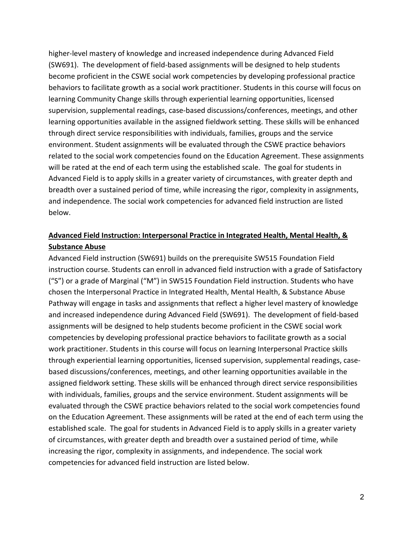higher-level mastery of knowledge and increased independence during Advanced Field (SW691). The development of field-based assignments will be designed to help students become proficient in the CSWE social work competencies by developing professional practice behaviors to facilitate growth as a social work practitioner. Students in this course will focus on learning Community Change skills through experiential learning opportunities, licensed supervision, supplemental readings, case-based discussions/conferences, meetings, and other learning opportunities available in the assigned fieldwork setting. These skills will be enhanced through direct service responsibilities with individuals, families, groups and the service environment. Student assignments will be evaluated through the CSWE practice behaviors related to the social work competencies found on the Education Agreement. These assignments will be rated at the end of each term using the established scale. The goal for students in Advanced Field is to apply skills in a greater variety of circumstances, with greater depth and breadth over a sustained period of time, while increasing the rigor, complexity in assignments, and independence. The social work competencies for advanced field instruction are listed below.

# **Advanced Field Instruction: Interpersonal Practice in Integrated Health, Mental Health, & Substance Abuse**

Advanced Field instruction (SW691) builds on the prerequisite SW515 Foundation Field instruction course. Students can enroll in advanced field instruction with a grade of Satisfactory ("S") or a grade of Marginal ("M") in SW515 Foundation Field instruction. Students who have chosen the Interpersonal Practice in Integrated Health, Mental Health, & Substance Abuse Pathway will engage in tasks and assignments that reflect a higher level mastery of knowledge and increased independence during Advanced Field (SW691). The development of field-based assignments will be designed to help students become proficient in the CSWE social work competencies by developing professional practice behaviors to facilitate growth as a social work practitioner. Students in this course will focus on learning Interpersonal Practice skills through experiential learning opportunities, licensed supervision, supplemental readings, casebased discussions/conferences, meetings, and other learning opportunities available in the assigned fieldwork setting. These skills will be enhanced through direct service responsibilities with individuals, families, groups and the service environment. Student assignments will be evaluated through the CSWE practice behaviors related to the social work competencies found on the Education Agreement. These assignments will be rated at the end of each term using the established scale. The goal for students in Advanced Field is to apply skills in a greater variety of circumstances, with greater depth and breadth over a sustained period of time, while increasing the rigor, complexity in assignments, and independence. The social work competencies for advanced field instruction are listed below.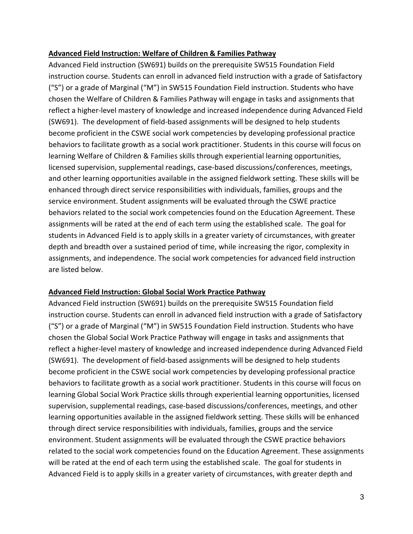#### **Advanced Field Instruction: Welfare of Children & Families Pathway**

Advanced Field instruction (SW691) builds on the prerequisite SW515 Foundation Field instruction course. Students can enroll in advanced field instruction with a grade of Satisfactory ("S") or a grade of Marginal ("M") in SW515 Foundation Field instruction. Students who have chosen the Welfare of Children & Families Pathway will engage in tasks and assignments that reflect a higher-level mastery of knowledge and increased independence during Advanced Field (SW691). The development of field-based assignments will be designed to help students become proficient in the CSWE social work competencies by developing professional practice behaviors to facilitate growth as a social work practitioner. Students in this course will focus on learning Welfare of Children & Families skills through experiential learning opportunities, licensed supervision, supplemental readings, case-based discussions/conferences, meetings, and other learning opportunities available in the assigned fieldwork setting. These skills will be enhanced through direct service responsibilities with individuals, families, groups and the service environment. Student assignments will be evaluated through the CSWE practice behaviors related to the social work competencies found on the Education Agreement. These assignments will be rated at the end of each term using the established scale. The goal for students in Advanced Field is to apply skills in a greater variety of circumstances, with greater depth and breadth over a sustained period of time, while increasing the rigor, complexity in assignments, and independence. The social work competencies for advanced field instruction are listed below.

#### **Advanced Field Instruction: Global Social Work Practice Pathway**

Advanced Field instruction (SW691) builds on the prerequisite SW515 Foundation field instruction course. Students can enroll in advanced field instruction with a grade of Satisfactory ("S") or a grade of Marginal ("M") in SW515 Foundation Field instruction. Students who have chosen the Global Social Work Practice Pathway will engage in tasks and assignments that reflect a higher-level mastery of knowledge and increased independence during Advanced Field (SW691). The development of field-based assignments will be designed to help students become proficient in the CSWE social work competencies by developing professional practice behaviors to facilitate growth as a social work practitioner. Students in this course will focus on learning Global Social Work Practice skills through experiential learning opportunities, licensed supervision, supplemental readings, case-based discussions/conferences, meetings, and other learning opportunities available in the assigned fieldwork setting. These skills will be enhanced through direct service responsibilities with individuals, families, groups and the service environment. Student assignments will be evaluated through the CSWE practice behaviors related to the social work competencies found on the Education Agreement. These assignments will be rated at the end of each term using the established scale. The goal for students in Advanced Field is to apply skills in a greater variety of circumstances, with greater depth and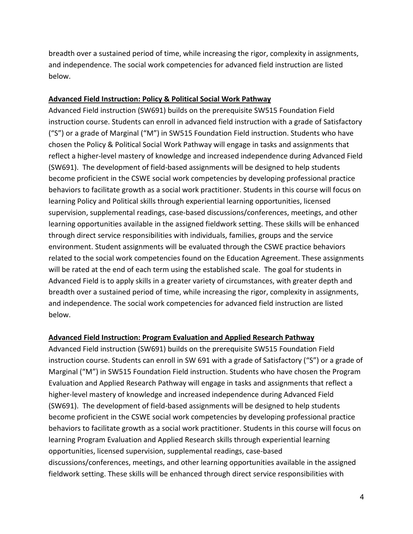breadth over a sustained period of time, while increasing the rigor, complexity in assignments, and independence. The social work competencies for advanced field instruction are listed below.

#### **Advanced Field Instruction: Policy & Political Social Work Pathway**

Advanced Field instruction (SW691) builds on the prerequisite SW515 Foundation Field instruction course. Students can enroll in advanced field instruction with a grade of Satisfactory ("S") or a grade of Marginal ("M") in SW515 Foundation Field instruction. Students who have chosen the Policy & Political Social Work Pathway will engage in tasks and assignments that reflect a higher-level mastery of knowledge and increased independence during Advanced Field (SW691). The development of field-based assignments will be designed to help students become proficient in the CSWE social work competencies by developing professional practice behaviors to facilitate growth as a social work practitioner. Students in this course will focus on learning Policy and Political skills through experiential learning opportunities, licensed supervision, supplemental readings, case-based discussions/conferences, meetings, and other learning opportunities available in the assigned fieldwork setting. These skills will be enhanced through direct service responsibilities with individuals, families, groups and the service environment. Student assignments will be evaluated through the CSWE practice behaviors related to the social work competencies found on the Education Agreement. These assignments will be rated at the end of each term using the established scale. The goal for students in Advanced Field is to apply skills in a greater variety of circumstances, with greater depth and breadth over a sustained period of time, while increasing the rigor, complexity in assignments, and independence. The social work competencies for advanced field instruction are listed below.

#### **Advanced Field Instruction: Program Evaluation and Applied Research Pathway**

Advanced Field instruction (SW691) builds on the prerequisite SW515 Foundation Field instruction course. Students can enroll in SW 691 with a grade of Satisfactory ("S") or a grade of Marginal ("M") in SW515 Foundation Field instruction. Students who have chosen the Program Evaluation and Applied Research Pathway will engage in tasks and assignments that reflect a higher-level mastery of knowledge and increased independence during Advanced Field (SW691). The development of field-based assignments will be designed to help students become proficient in the CSWE social work competencies by developing professional practice behaviors to facilitate growth as a social work practitioner. Students in this course will focus on learning Program Evaluation and Applied Research skills through experiential learning opportunities, licensed supervision, supplemental readings, case-based discussions/conferences, meetings, and other learning opportunities available in the assigned fieldwork setting. These skills will be enhanced through direct service responsibilities with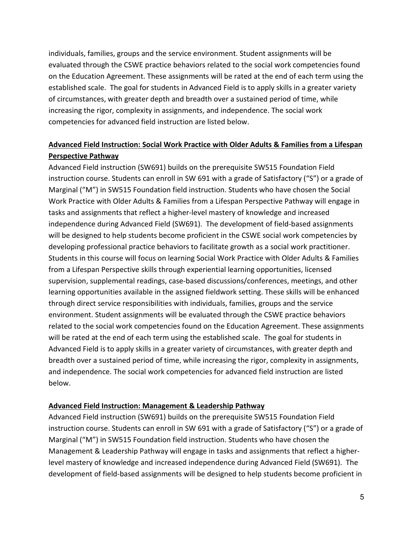individuals, families, groups and the service environment. Student assignments will be evaluated through the CSWE practice behaviors related to the social work competencies found on the Education Agreement. These assignments will be rated at the end of each term using the established scale. The goal for students in Advanced Field is to apply skills in a greater variety of circumstances, with greater depth and breadth over a sustained period of time, while increasing the rigor, complexity in assignments, and independence. The social work competencies for advanced field instruction are listed below.

# **Advanced Field Instruction: Social Work Practice with Older Adults & Families from a Lifespan Perspective Pathway**

Advanced Field instruction (SW691) builds on the prerequisite SW515 Foundation Field instruction course. Students can enroll in SW 691 with a grade of Satisfactory ("S") or a grade of Marginal ("M") in SW515 Foundation field instruction. Students who have chosen the Social Work Practice with Older Adults & Families from a Lifespan Perspective Pathway will engage in tasks and assignments that reflect a higher-level mastery of knowledge and increased independence during Advanced Field (SW691). The development of field-based assignments will be designed to help students become proficient in the CSWE social work competencies by developing professional practice behaviors to facilitate growth as a social work practitioner. Students in this course will focus on learning Social Work Practice with Older Adults & Families from a Lifespan Perspective skills through experiential learning opportunities, licensed supervision, supplemental readings, case-based discussions/conferences, meetings, and other learning opportunities available in the assigned fieldwork setting. These skills will be enhanced through direct service responsibilities with individuals, families, groups and the service environment. Student assignments will be evaluated through the CSWE practice behaviors related to the social work competencies found on the Education Agreement. These assignments will be rated at the end of each term using the established scale. The goal for students in Advanced Field is to apply skills in a greater variety of circumstances, with greater depth and breadth over a sustained period of time, while increasing the rigor, complexity in assignments, and independence. The social work competencies for advanced field instruction are listed below.

#### **Advanced Field Instruction: Management & Leadership Pathway**

Advanced Field instruction (SW691) builds on the prerequisite SW515 Foundation Field instruction course. Students can enroll in SW 691 with a grade of Satisfactory ("S") or a grade of Marginal ("M") in SW515 Foundation field instruction. Students who have chosen the Management & Leadership Pathway will engage in tasks and assignments that reflect a higherlevel mastery of knowledge and increased independence during Advanced Field (SW691). The development of field-based assignments will be designed to help students become proficient in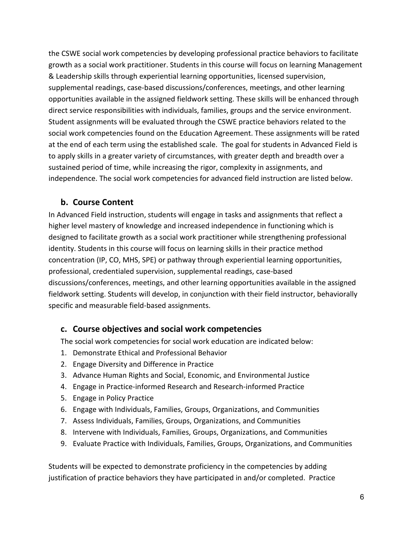the CSWE social work competencies by developing professional practice behaviors to facilitate growth as a social work practitioner. Students in this course will focus on learning Management & Leadership skills through experiential learning opportunities, licensed supervision, supplemental readings, case-based discussions/conferences, meetings, and other learning opportunities available in the assigned fieldwork setting. These skills will be enhanced through direct service responsibilities with individuals, families, groups and the service environment. Student assignments will be evaluated through the CSWE practice behaviors related to the social work competencies found on the Education Agreement. These assignments will be rated at the end of each term using the established scale. The goal for students in Advanced Field is to apply skills in a greater variety of circumstances, with greater depth and breadth over a sustained period of time, while increasing the rigor, complexity in assignments, and independence. The social work competencies for advanced field instruction are listed below.

# **b. Course Content**

In Advanced Field instruction, students will engage in tasks and assignments that reflect a higher level mastery of knowledge and increased independence in functioning which is designed to facilitate growth as a social work practitioner while strengthening professional identity. Students in this course will focus on learning skills in their practice method concentration (IP, CO, MHS, SPE) or pathway through experiential learning opportunities, professional, credentialed supervision, supplemental readings, case-based discussions/conferences, meetings, and other learning opportunities available in the assigned fieldwork setting. Students will develop, in conjunction with their field instructor, behaviorally specific and measurable field-based assignments.

# **c. Course objectives and social work competencies**

The social work competencies for social work education are indicated below:

- 1. Demonstrate Ethical and Professional Behavior
- 2. Engage Diversity and Difference in Practice
- 3. Advance Human Rights and Social, Economic, and Environmental Justice
- 4. Engage in Practice-informed Research and Research-informed Practice
- 5. Engage in Policy Practice
- 6. Engage with Individuals, Families, Groups, Organizations, and Communities
- 7. Assess Individuals, Families, Groups, Organizations, and Communities
- 8. Intervene with Individuals, Families, Groups, Organizations, and Communities
- 9. Evaluate Practice with Individuals, Families, Groups, Organizations, and Communities

Students will be expected to demonstrate proficiency in the competencies by adding justification of practice behaviors they have participated in and/or completed. Practice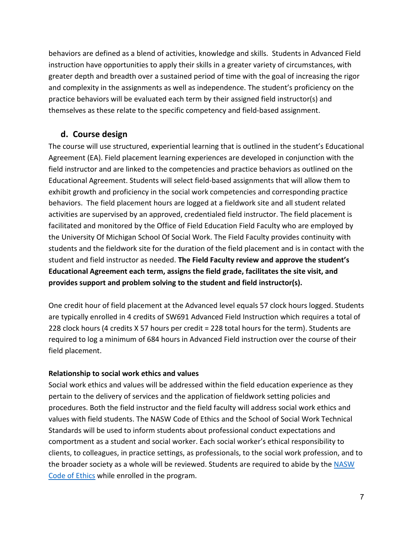behaviors are defined as a blend of activities, knowledge and skills. Students in Advanced Field instruction have opportunities to apply their skills in a greater variety of circumstances, with greater depth and breadth over a sustained period of time with the goal of increasing the rigor and complexity in the assignments as well as independence. The student's proficiency on the practice behaviors will be evaluated each term by their assigned field instructor(s) and themselves as these relate to the specific competency and field-based assignment.

# **d. Course design**

The course will use structured, experiential learning that is outlined in the student's Educational Agreement (EA). Field placement learning experiences are developed in conjunction with the field instructor and are linked to the competencies and practice behaviors as outlined on the Educational Agreement. Students will select field-based assignments that will allow them to exhibit growth and proficiency in the social work competencies and corresponding practice behaviors. The field placement hours are logged at a fieldwork site and all student related activities are supervised by an approved, credentialed field instructor. The field placement is facilitated and monitored by the Office of Field Education Field Faculty who are employed by the University Of Michigan School Of Social Work. The Field Faculty provides continuity with students and the fieldwork site for the duration of the field placement and is in contact with the student and field instructor as needed. **The Field Faculty review and approve the student's Educational Agreement each term, assigns the field grade, facilitates the site visit, and provides support and problem solving to the student and field instructor(s).** 

One credit hour of field placement at the Advanced level equals 57 clock hours logged. Students are typically enrolled in 4 credits of SW691 Advanced Field Instruction which requires a total of 228 clock hours (4 credits X 57 hours per credit = 228 total hours for the term). Students are required to log a minimum of 684 hours in Advanced Field instruction over the course of their field placement.

# **Relationship to social work ethics and values**

Social work ethics and values will be addressed within the field education experience as they pertain to the delivery of services and the application of fieldwork setting policies and procedures. Both the field instructor and the field faculty will address social work ethics and values with field students. The NASW Code of Ethics and the School of Social Work Technical Standards will be used to inform students about professional conduct expectations and comportment as a student and social worker. Each social worker's ethical responsibility to clients, to colleagues, in practice settings, as professionals, to the social work profession, and to the broader society as a whole will be reviewed. Students are required to abide by the [NASW](https://www.socialworkers.org/About/Ethics/Code-of-Ethics/Code-of-Ethics-English)  [Code of Ethics](https://www.socialworkers.org/About/Ethics/Code-of-Ethics/Code-of-Ethics-English) while enrolled in the program.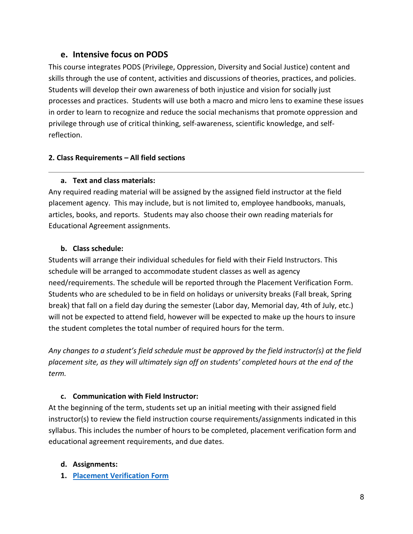# **e. Intensive focus on PODS**

This course integrates PODS (Privilege, Oppression, Diversity and Social Justice) content and skills through the use of content, activities and discussions of theories, practices, and policies. Students will develop their own awareness of both injustice and vision for socially just processes and practices. Students will use both a macro and micro lens to examine these issues in order to learn to recognize and reduce the social mechanisms that promote oppression and privilege through use of critical thinking, self-awareness, scientific knowledge, and selfreflection.

# **2. Class Requirements – All field sections**

# **a. Text and class materials:**

Any required reading material will be assigned by the assigned field instructor at the field placement agency. This may include, but is not limited to, employee handbooks, manuals, articles, books, and reports. Students may also choose their own reading materials for Educational Agreement assignments.

# **b. Class schedule:**

Students will arrange their individual schedules for field with their Field Instructors. This schedule will be arranged to accommodate student classes as well as agency need/requirements. The schedule will be reported through the Placement Verification Form. Students who are scheduled to be in field on holidays or university breaks (Fall break, Spring break) that fall on a field day during the semester (Labor day, Memorial day, 4th of July, etc.) will not be expected to attend field, however will be expected to make up the hours to insure the student completes the total number of required hours for the term.

*Any changes to a student's field schedule must be approved by the field instructor(s) at the field placement site, as they will ultimately sign off on students' completed hours at the end of the term.*

# **c. Communication with Field Instructor:**

At the beginning of the term, students set up an initial meeting with their assigned field instructor(s) to review the field instruction course requirements/assignments indicated in this syllabus. This includes the number of hours to be completed, placement verification form and educational agreement requirements, and due dates.

# **d. Assignments:**

**1. [Placement Verification Form](https://ssw.umich.edu/assets/field-student-placement-verification/)**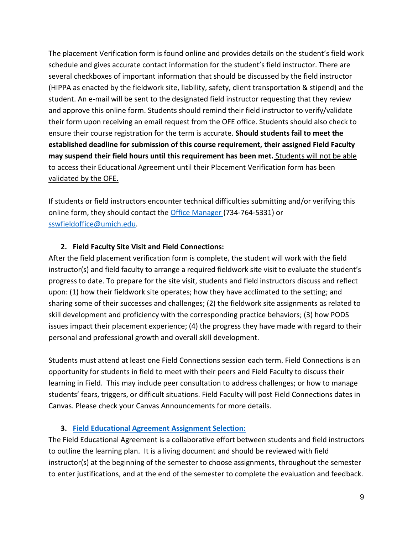The placement Verification form is found online and provides details on the student's field work schedule and gives accurate contact information for the student's field instructor. There are several checkboxes of important information that should be discussed by the field instructor (HIPPA as enacted by the fieldwork site, liability, safety, client transportation & stipend) and the student. An e-mail will be sent to the designated field instructor requesting that they review and approve this online form. Students should remind their field instructor to verify/validate their form upon receiving an email request from the OFE office. Students should also check to ensure their course registration for the term is accurate. **Should students fail to meet the established deadline for submission of this course requirement, their assigned Field Faculty may suspend their field hours until this requirement has been met.** Students will not be able to access their Educational Agreement until their Placement Verification form has been validated by the OFE.

If students or field instructors encounter technical difficulties submitting and/or verifying this online form, they should contact th[e Office Manager \(](mailto:ssw-fieldoffice@umich.edu)734-764-5331) or [sswfieldoffice@umich.edu.](mailto:sswfieldoffice@umich.edu)

# **2. Field Faculty Site Visit and Field Connections:**

After the field placement verification form is complete, the student will work with the field instructor(s) and field faculty to arrange a required fieldwork site visit to evaluate the student's progress to date. To prepare for the site visit, students and field instructors discuss and reflect upon: (1) how their fieldwork site operates; how they have acclimated to the setting; and sharing some of their successes and challenges; (2) the fieldwork site assignments as related to skill development and proficiency with the corresponding practice behaviors; (3) how PODS issues impact their placement experience; (4) the progress they have made with regard to their personal and professional growth and overall skill development.

Students must attend at least one Field Connections session each term. Field Connections is an opportunity for students in field to meet with their peers and Field Faculty to discuss their learning in Field. This may include peer consultation to address challenges; or how to manage students' fears, triggers, or difficult situations. Field Faculty will post Field Connections dates in Canvas. Please check your Canvas Announcements for more details.

#### **3. [Field Educational Agreement](https://ssw.umich.edu/assets/field-educational-agreement/) Assignment Selection:**

The Field Educational Agreement is a collaborative effort between students and field instructors to outline the learning plan. It is a living document and should be reviewed with field instructor(s) at the beginning of the semester to choose assignments, throughout the semester to enter justifications, and at the end of the semester to complete the evaluation and feedback.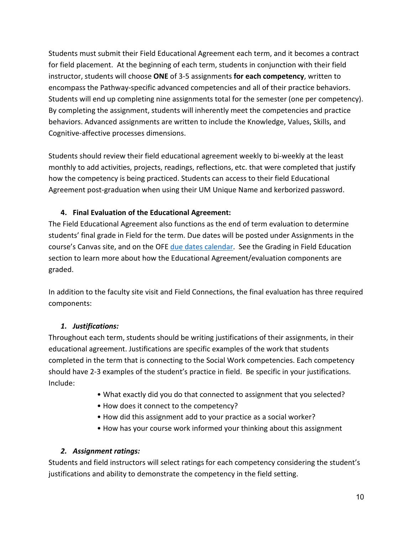Students must submit their Field Educational Agreement each term, and it becomes a contract for field placement. At the beginning of each term, students in conjunction with their field instructor, students will choose **ONE** of 3-5 assignments **for each competency**, written to encompass the Pathway-specific advanced competencies and all of their practice behaviors. Students will end up completing nine assignments total for the semester (one per competency). By completing the assignment, students will inherently meet the competencies and practice behaviors. Advanced assignments are written to include the Knowledge, Values, Skills, and Cognitive-affective processes dimensions.

Students should review their field educational agreement weekly to bi-weekly at the least monthly to add activities, projects, readings, reflections, etc. that were completed that justify how the competency is being practiced. Students can access to their field Educational Agreement post-graduation when using their UM Unique Name and kerborized password.

# **4. Final Evaluation of the Educational Agreement:**

The Field Educational Agreement also functions as the end of term evaluation to determine students' final grade in Field for the term. Due dates will be posted under Assignments in the course's Canvas site, and on the OFE [due dates calendar.](https://ssw.umich.edu/my-ssw/field-instruction-forms/due-dates) See the Grading in Field Education section to learn more about how the Educational Agreement/evaluation components are graded.

In addition to the faculty site visit and Field Connections, the final evaluation has three required components:

# *1. Justifications:*

Throughout each term, students should be writing justifications of their assignments, in their educational agreement. Justifications are specific examples of the work that students completed in the term that is connecting to the Social Work competencies. Each competency should have 2-3 examples of the student's practice in field. Be specific in your justifications. Include:

- What exactly did you do that connected to assignment that you selected?
- How does it connect to the competency?
- How did this assignment add to your practice as a social worker?
- How has your course work informed your thinking about this assignment

# *2. Assignment ratings:*

Students and field instructors will select ratings for each competency considering the student's justifications and ability to demonstrate the competency in the field setting.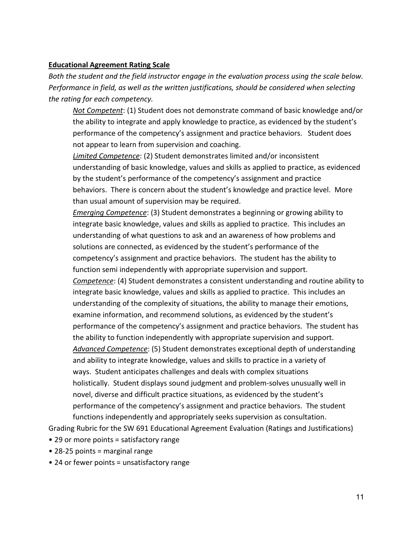#### **Educational Agreement Rating Scale**

*Both the student and the field instructor engage in the evaluation process using the scale below. Performance in field, as well as the written justifications, should be considered when selecting the rating for each competency.*

*Not Competent*: (1) Student does not demonstrate command of basic knowledge and/or the ability to integrate and apply knowledge to practice, as evidenced by the student's performance of the competency's assignment and practice behaviors. Student does not appear to learn from supervision and coaching.

*Limited Competence*: (2) Student demonstrates limited and/or inconsistent understanding of basic knowledge, values and skills as applied to practice, as evidenced by the student's performance of the competency's assignment and practice behaviors. There is concern about the student's knowledge and practice level. More than usual amount of supervision may be required.

*Emerging Competence*: (3) Student demonstrates a beginning or growing ability to integrate basic knowledge, values and skills as applied to practice. This includes an understanding of what questions to ask and an awareness of how problems and solutions are connected, as evidenced by the student's performance of the competency's assignment and practice behaviors. The student has the ability to function semi independently with appropriate supervision and support. *Competence*: (4) Student demonstrates a consistent understanding and routine ability to integrate basic knowledge, values and skills as applied to practice. This includes an understanding of the complexity of situations, the ability to manage their emotions, examine information, and recommend solutions, as evidenced by the student's performance of the competency's assignment and practice behaviors. The student has the ability to function independently with appropriate supervision and support. *Advanced Competence*: (5) Student demonstrates exceptional depth of understanding and ability to integrate knowledge, values and skills to practice in a variety of ways. Student anticipates challenges and deals with complex situations holistically. Student displays sound judgment and problem-solves unusually well in novel, diverse and difficult practice situations, as evidenced by the student's performance of the competency's assignment and practice behaviors. The student

functions independently and appropriately seeks supervision as consultation.

Grading Rubric for the SW 691 Educational Agreement Evaluation (Ratings and Justifications)

- 29 or more points = satisfactory range
- 28-25 points = marginal range
- 24 or fewer points = unsatisfactory range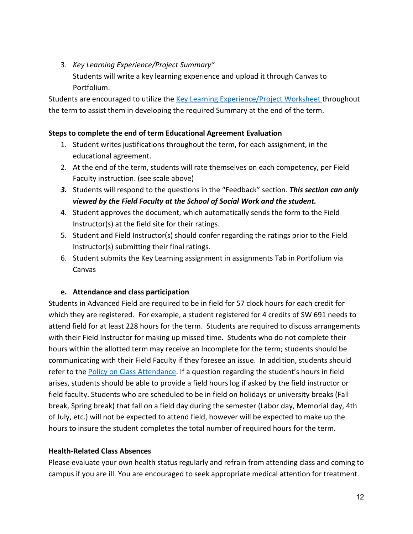3. *Key Learning Experience/Project Summary"* Students will write a key learning experience and upload it through Canvas to Portfolium.

Students are encouraged to utilize the [Key Learning Experience/Project Worksheet t](https://ssw.umich.edu/sites/default/files/documents/ofi/field-key-learning-experience-project-worksheet-and-summary-assignment.pdf)hroughout the term to assist them in developing the required Summary at the end of the term.

#### **Steps to complete the end of term Educational Agreement Evaluation**

- 1. Student writes justifications throughout the term, for each assignment, in the educational agreement.
- 2. At the end of the term, students will rate themselves on each competency, per Field Faculty instruction. (see scale above)
- *3.* Students will respond to the questions in the "Feedback" section. *This section can only viewed by the Field Faculty at the School of Social Work and the student.*
- 4. Student approves the document, which automatically sends the form to the Field Instructor(s) at the field site for their ratings.
- 5. Student and Field Instructor(s) should confer regarding the ratings prior to the Field Instructor(s) submitting their final ratings.
- 6. Student submits the Key Learning assignment in assignments Tab in Portfolium via Canvas

#### **e. Attendance and class participation**

Students in Advanced Field are required to be in field for 57 clock hours for each credit for which they are registered. For example, a student registered for 4 credits of SW 691 needs to attend field for at least 228 hours for the term. Students are required to discuss arrangements with their Field Instructor for making up missed time. Students who do not complete their hours within the allotted term may receive an Incomplete for the term; students should be communicating with their Field Faculty if they foresee an issue. In addition, students should refer to the [Policy on Class Attendance.](https://ssw.umich.edu/msw-student-guide/section/1.09.00/17/policy-on-class-attendance) If a question regarding the student's hours in field arises, students should be able to provide a field hours log if asked by the field instructor or field faculty. Students who are scheduled to be in field on holidays or university breaks (Fall break, Spring break) that fall on a field day during the semester (Labor day, Memorial day, 4th of July, etc.) will not be expected to attend field, however will be expected to make up the hours to insure the student completes the total number of required hours for the term.

#### **Health-Related Class Absences**

Please evaluate your own health status regularly and refrain from attending class and coming to campus if you are ill. You are encouraged to seek appropriate medical attention for treatment.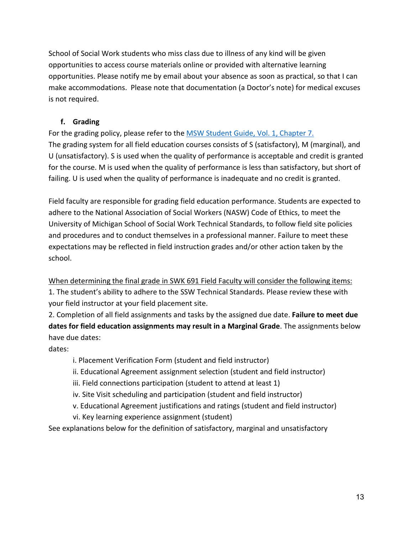School of Social Work students who miss class due to illness of any kind will be given opportunities to access course materials online or provided with alternative learning opportunities. Please notify me by email about your absence as soon as practical, so that I can make accommodations. Please note that documentation (a Doctor's note) for medical excuses is not required.

# **f. Grading**

For the grading policy, please refer to the [MSW Student Guide, Vol. 1, Chapter 7.](https://ssw.umich.edu/msw-student-guide/section/1.07.00/14/grades-in-academic-courses-and-in-field-instruction)  The grading system for all field education courses consists of S (satisfactory), M (marginal), and U (unsatisfactory). S is used when the quality of performance is acceptable and credit is granted for the course. M is used when the quality of performance is less than satisfactory, but short of failing. U is used when the quality of performance is inadequate and no credit is granted.

Field faculty are responsible for grading field education performance. Students are expected to adhere to the National Association of Social Workers (NASW) Code of Ethics, to meet the University of Michigan School of Social Work Technical Standards, to follow field site policies and procedures and to conduct themselves in a professional manner. Failure to meet these expectations may be reflected in field instruction grades and/or other action taken by the school.

When determining the final grade in SWK 691 Field Faculty will consider the following items:

1. The student's ability to adhere to the SSW Technical Standards. Please review these with your field instructor at your field placement site.

2. Completion of all field assignments and tasks by the assigned due date. **Failure to meet due dates for field education assignments may result in a Marginal Grade**. The assignments below have due dates:

dates:

- i. Placement Verification Form (student and field instructor)
- ii. Educational Agreement assignment selection (student and field instructor)
- iii. Field connections participation (student to attend at least 1)
- iv. Site Visit scheduling and participation (student and field instructor)
- v. Educational Agreement justifications and ratings (student and field instructor)
- vi. Key learning experience assignment (student)

See explanations below for the definition of satisfactory, marginal and unsatisfactory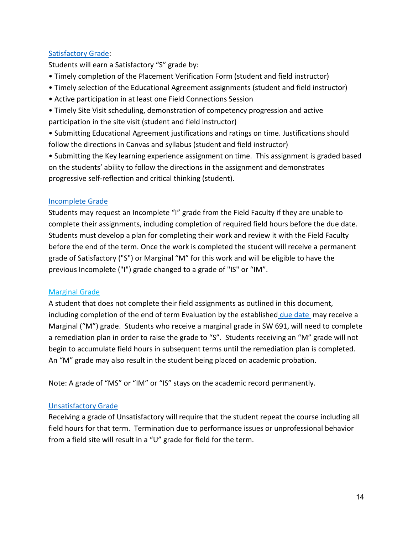# [Satisfactory Grade:](https://ssw.umich.edu/msw-student-guide/section/1.07.00/14/grades-in-academic-courses-and-in-field-instruction)

Students will earn a Satisfactory "S" grade by:

- Timely completion of the Placement Verification Form (student and field instructor)
- Timely selection of the Educational Agreement assignments (student and field instructor)
- Active participation in at least one Field Connections Session
- Timely Site Visit scheduling, demonstration of competency progression and active participation in the site visit (student and field instructor)

• Submitting Educational Agreement justifications and ratings on time. Justifications should follow the directions in Canvas and syllabus (student and field instructor)

• Submitting the Key learning experience assignment on time. This assignment is graded based on the students' ability to follow the directions in the assignment and demonstrates progressive self-reflection and critical thinking (student).

# [Incomplete Grade](https://ssw.umich.edu/msw-student-guide/section/1.07.01/15/grades-for-special-circumstances)

Students may request an Incomplete "I" grade from the Field Faculty if they are unable to complete their assignments, including completion of required field hours before the due date. Students must develop a plan for completing their work and review it with the Field Faculty before the end of the term. Once the work is completed the student will receive a permanent grade of Satisfactory ("S") or Marginal "M" for this work and will be eligible to have the previous Incomplete ("I") grade changed to a grade of "IS" or "IM".

#### [Marginal Grade](https://ssw.umich.edu/msw-student-guide/section/1.07.00/14/grades-in-academic-courses-and-in-field-instruction)

A student that does not complete their field assignments as outlined in this document, including completion of the end of term Evaluation by the established [due date](https://ssw.umich.edu/my-ssw/field-instruction-forms/due-dates) may receive a Marginal ("M") grade. Students who receive a marginal grade in SW 691, will need to complete a remediation plan in order to raise the grade to "S". Students receiving an "M" grade will not begin to accumulate field hours in subsequent terms until the remediation plan is completed. An "M" grade may also result in the student being placed on academic probation.

Note: A grade of "MS" or "IM" or "IS" stays on the academic record permanently.

# [Unsatisfactory Grade](https://ssw.umich.edu/msw-student-guide/section/1.07.00/14/grades-in-academic-courses-and-in-field-instruction)

Receiving a grade of Unsatisfactory will require that the student repeat the course including all field hours for that term. Termination due to performance issues or unprofessional behavior from a field site will result in a "U" grade for field for the term.